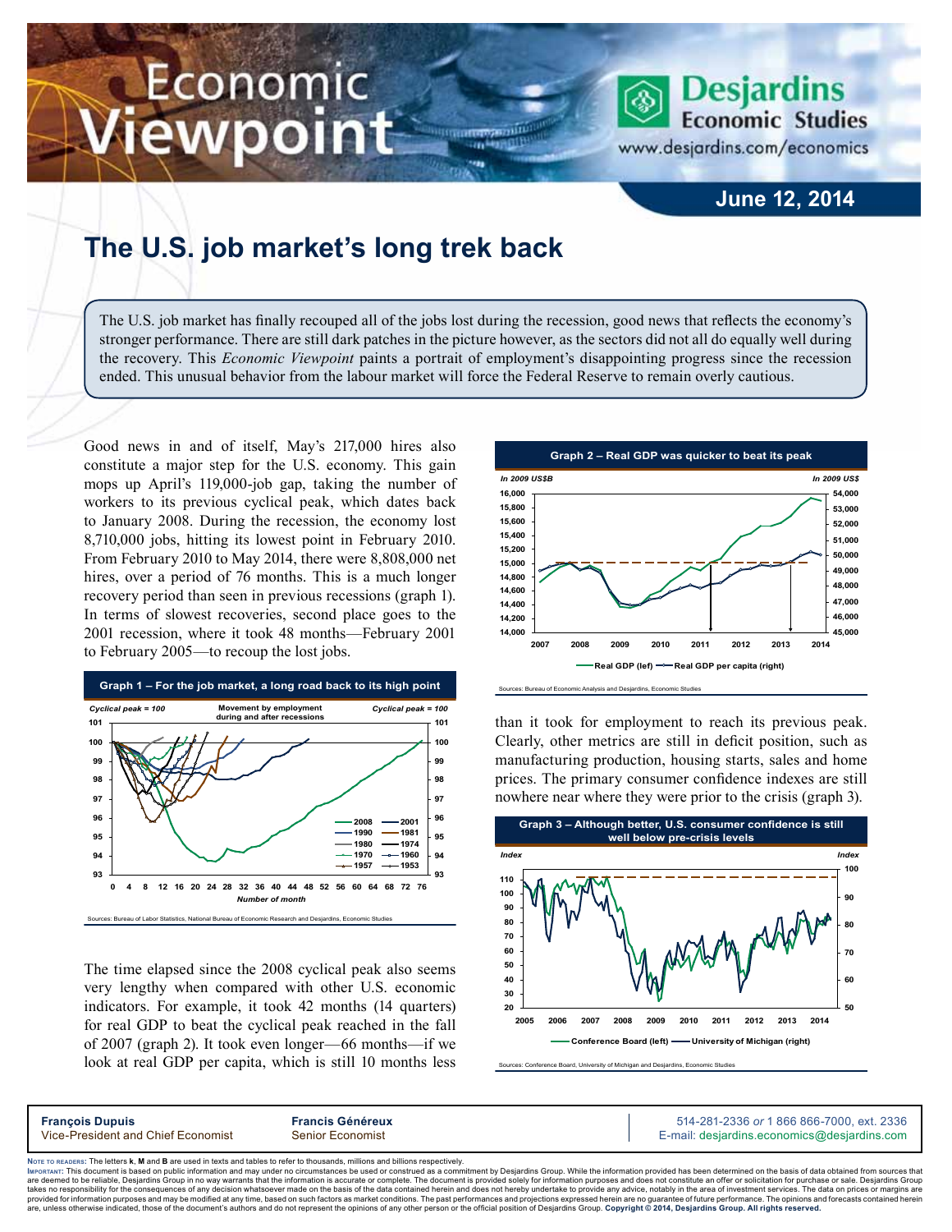## Economic ewpoint

## **June 12, 2014**

**Desjardins Economic Studies** 

www.desjardins.com/economics

## **The U.S. job market's long trek back**

The U.S. job market has finally recouped all of the jobs lost during the recession, good news that reflects the economy's stronger performance. There are still dark patches in the picture however, as the sectors did not all do equally well during the recovery. This *Economic Viewpoint* paints a portrait of employment's disappointing progress since the recession ended. This unusual behavior from the labour market will force the Federal Reserve to remain overly cautious.

,,,

Good news in and of itself, May's 217,000 hires also constitute a major step for the U.S. economy. This gain mops up April's 119,000‑job gap, taking the number of workers to its previous cyclical peak, which dates back to January 2008. During the recession, the economy lost 8,710,000 jobs, hitting its lowest point in February 2010. From February 2010 to May 2014, there were 8,808,000 net hires, over a period of 76 months. This is a much longer recovery period than seen in previous recessions (graph 1). In terms of slowest recoveries, second place goes to the 2001 recession, where it took 48 months—February 2001 to February 2005—to recoup the lost jobs.



The time elapsed since the 2008 cyclical peak also seems very lengthy when compared with other U.S. economic indicators. For example, it took 42 months (14 quarters) for real GDP to beat the cyclical peak reached in the fall of 2007 (graph 2). It took even longer—66 months—if we look at real GDP per capita, which is still 10 months less



than it took for employment to reach its previous peak. Clearly, other metrics are still in deficit position, such as manufacturing production, housing starts, sales and home prices. The primary consumer confidence indexes are still nowhere near where they were prior to the crisis (graph 3).



Sources: Conference Board, University of Michigan and Desjardins, Economic Studie

Noте то келоекs: The letters **k, M** and **B** are used in texts and tables to refer to thousands, millions and billions respectively.<br>Імроктлит: This document is based on public information and may under no circumstances be are deemed to be reliable. Desiardins Group in no way warrants that the information is accurate or complete. The document is provided solely for information purposes and does not constitute an offer or solicitation for pur takes no responsibility for the consequences of any decision whatsoever made on the basis of the data contained herein and does not hereby undertake to provide any advice, notably in the area of investment services. The da .<br>are, unless otherwise indicated, those of the document's authors and do not represent the opinions of any other person or the official position of Desjardins Group. Copyright © 2014, Desjardins Group. All rights reserve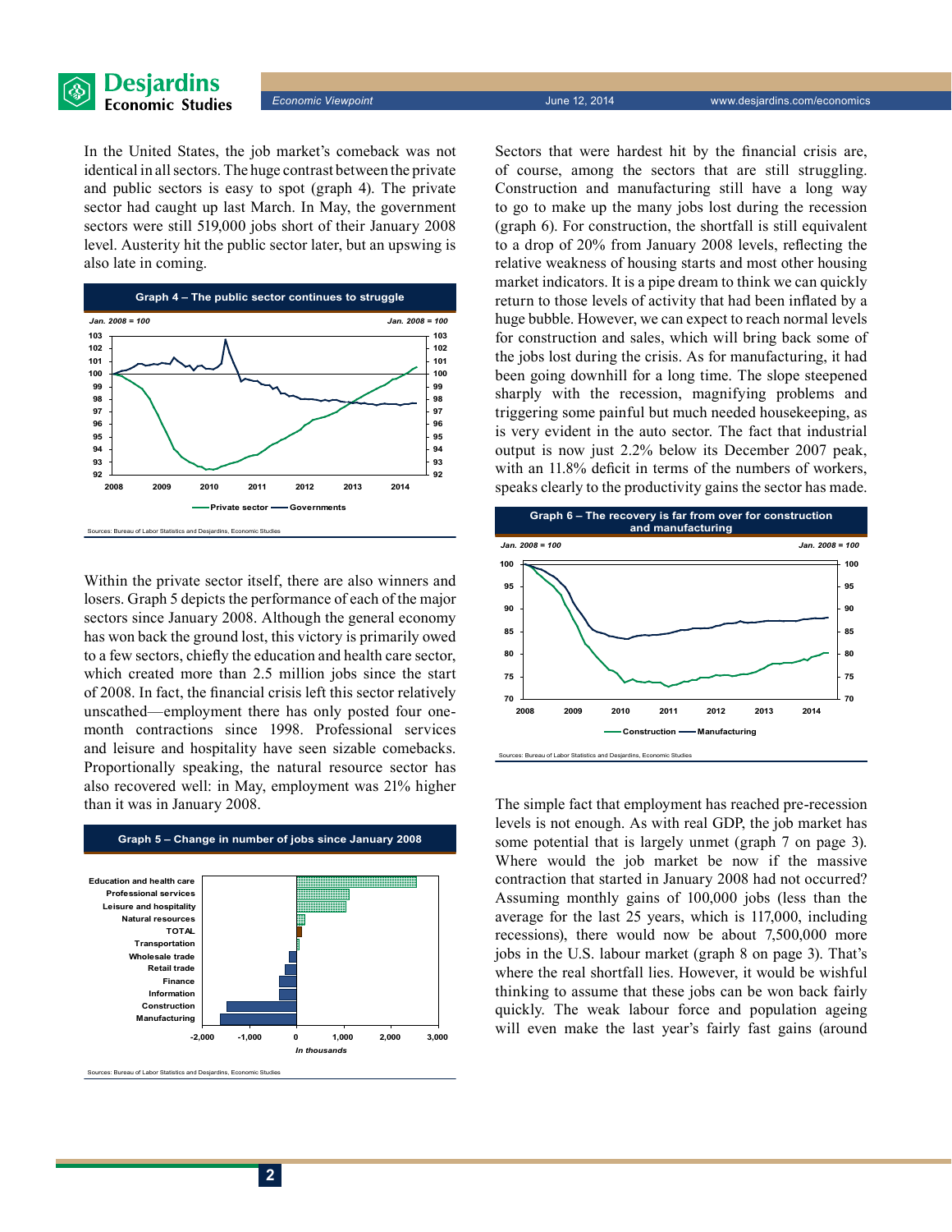

*Economic Viewpoint* June 12, 2014 www.desjardins.com/economics

In the United States, the job market's comeback was not identical in all sectors. The huge contrast between the private and public sectors is easy to spot (graph 4). The private sector had caught up last March. In May, the government sectors were still 519,000 jobs short of their January 2008 level. Austerity hit the public sector later, but an upswing is also late in coming.



Within the private sector itself, there are also winners and losers. Graph 5 depicts the performance of each of the major sectors since January 2008. Although the general economy has won back the ground lost, this victory is primarily owed to a few sectors, chiefly the education and health care sector, which created more than 2.5 million jobs since the start of 2008. In fact, the financial crisis left this sector relatively unscathed—employment there has only posted four onemonth contractions since 1998. Professional services and leisure and hospitality have seen sizable comebacks. Proportionally speaking, the natural resource sector has also recovered well: in May, employment was 21% higher than it was in January 2008.



.<br>The Sureau of Labor Statistics and Desjardins, Economic Studies

Sectors that were hardest hit by the financial crisis are, of course, among the sectors that are still struggling. Construction and manufacturing still have a long way to go to make up the many jobs lost during the recession (graph 6). For construction, the shortfall is still equivalent to a drop of 20% from January 2008 levels, reflecting the relative weakness of housing starts and most other housing market indicators. It is a pipe dream to think we can quickly return to those levels of activity that had been inflated by a huge bubble. However, we can expect to reach normal levels for construction and sales, which will bring back some of the jobs lost during the crisis. As for manufacturing, it had been going downhill for a long time. The slope steepened sharply with the recession, magnifying problems and triggering some painful but much needed housekeeping, as is very evident in the auto sector. The fact that industrial output is now just 2.2% below its December 2007 peak, with an  $11.8\%$  deficit in terms of the numbers of workers, speaks clearly to the productivity gains the sector has made.



The simple fact that employment has reached pre-recession levels is not enough. As with real GDP, the job market has some potential that is largely unmet (graph 7 on page 3). Where would the job market be now if the massive contraction that started in January 2008 had not occurred? Assuming monthly gains of 100,000 jobs (less than the average for the last 25 years, which is 117,000, including recessions), there would now be about 7,500,000 more jobs in the U.S. labour market (graph 8 on page 3). That's where the real shortfall lies. However, it would be wishful thinking to assume that these jobs can be won back fairly quickly. The weak labour force and population ageing will even make the last year's fairly fast gains (around